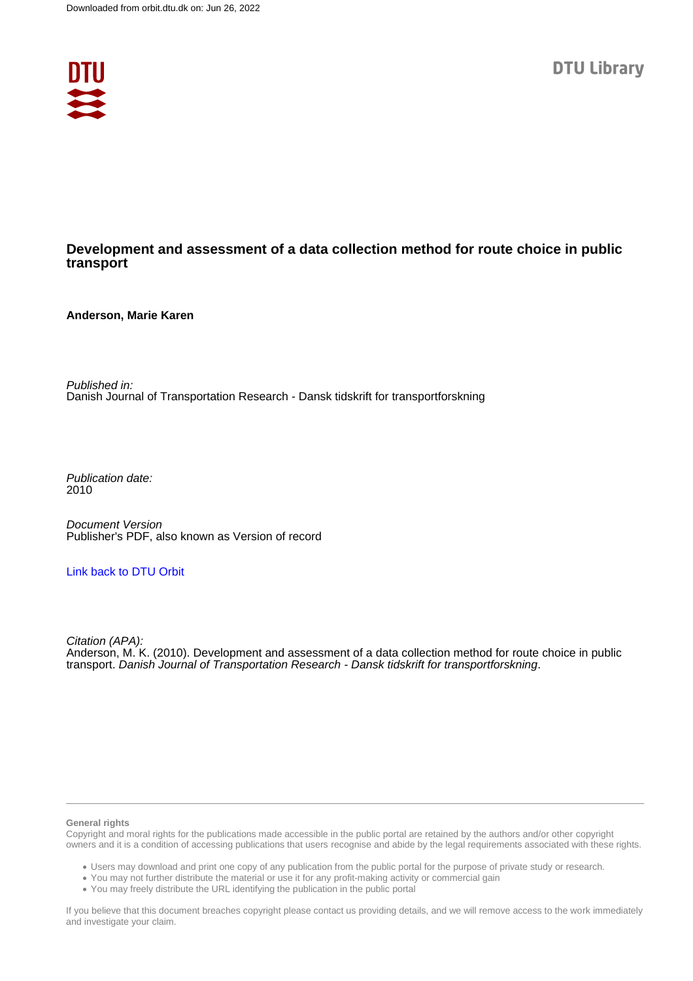

#### **Development and assessment of a data collection method for route choice in public transport**

**Anderson, Marie Karen**

Published in: Danish Journal of Transportation Research - Dansk tidskrift for transportforskning

Publication date: 2010

Document Version Publisher's PDF, also known as Version of record

#### [Link back to DTU Orbit](https://orbit.dtu.dk/en/publications/482e23df-94fc-4525-9af5-de800f0e8f4b)

Citation (APA): Anderson, M. K. (2010). Development and assessment of a data collection method for route choice in public transport. Danish Journal of Transportation Research - Dansk tidskrift for transportforskning.

#### **General rights**

Copyright and moral rights for the publications made accessible in the public portal are retained by the authors and/or other copyright owners and it is a condition of accessing publications that users recognise and abide by the legal requirements associated with these rights.

Users may download and print one copy of any publication from the public portal for the purpose of private study or research.

- You may not further distribute the material or use it for any profit-making activity or commercial gain
- You may freely distribute the URL identifying the publication in the public portal

If you believe that this document breaches copyright please contact us providing details, and we will remove access to the work immediately and investigate your claim.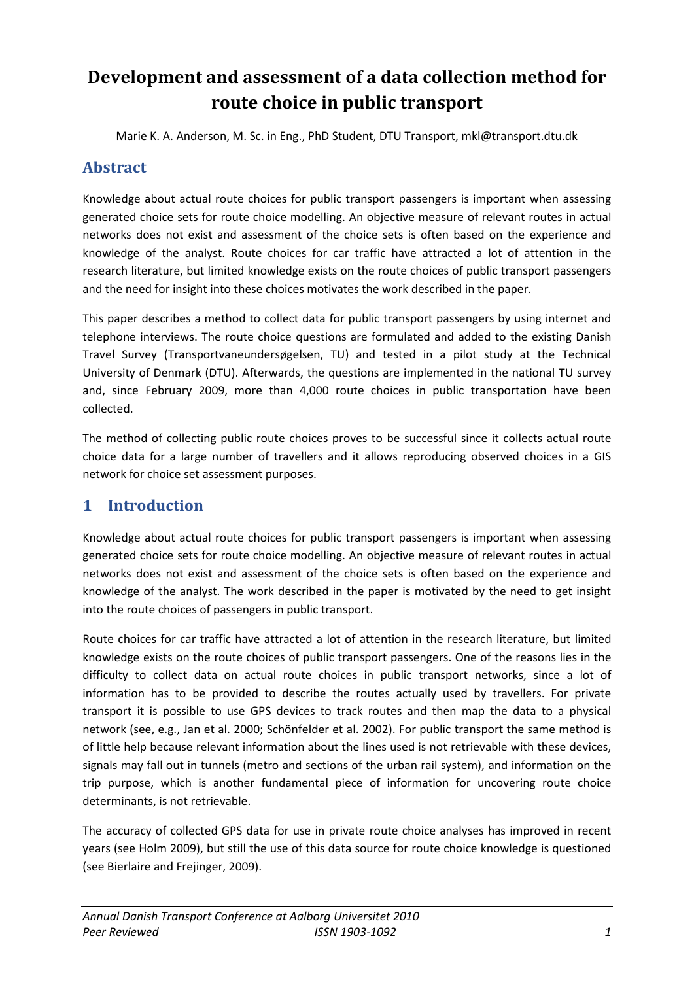# **Development and assessment of a data collection method for route choice in public transport**

Marie K. A. Anderson, M. Sc. in Eng., PhD Student, DTU Transport, mkl@transport.dtu.dk

# **Abstract**

Knowledge about actual route choices for public transport passengers is important when assessing generated choice sets for route choice modelling. An objective measure of relevant routes in actual networks does not exist and assessment of the choice sets is often based on the experience and knowledge of the analyst. Route choices for car traffic have attracted a lot of attention in the research literature, but limited knowledge exists on the route choices of public transport passengers and the need for insight into these choices motivates the work described in the paper.

This paper describes a method to collect data for public transport passengers by using internet and telephone interviews. The route choice questions are formulated and added to the existing Danish Travel Survey (Transportvaneundersøgelsen, TU) and tested in a pilot study at the Technical University of Denmark (DTU). Afterwards, the questions are implemented in the national TU survey and, since February 2009, more than 4,000 route choices in public transportation have been collected.

The method of collecting public route choices proves to be successful since it collects actual route choice data for a large number of travellers and it allows reproducing observed choices in a GIS network for choice set assessment purposes.

# **1 Introduction**

Knowledge about actual route choices for public transport passengers is important when assessing generated choice sets for route choice modelling. An objective measure of relevant routes in actual networks does not exist and assessment of the choice sets is often based on the experience and knowledge of the analyst. The work described in the paper is motivated by the need to get insight into the route choices of passengers in public transport.

Route choices for car traffic have attracted a lot of attention in the research literature, but limited knowledge exists on the route choices of public transport passengers. One of the reasons lies in the difficulty to collect data on actual route choices in public transport networks, since a lot of information has to be provided to describe the routes actually used by travellers. For private transport it is possible to use GPS devices to track routes and then map the data to a physical network (see, e.g., Jan et al. 2000; Schönfelder et al. 2002). For public transport the same method is of little help because relevant information about the lines used is not retrievable with these devices, signals may fall out in tunnels (metro and sections of the urban rail system), and information on the trip purpose, which is another fundamental piece of information for uncovering route choice determinants, is not retrievable.

The accuracy of collected GPS data for use in private route choice analyses has improved in recent years (see Holm 2009), but still the use of this data source for route choice knowledge is questioned (see Bierlaire and Frejinger, 2009).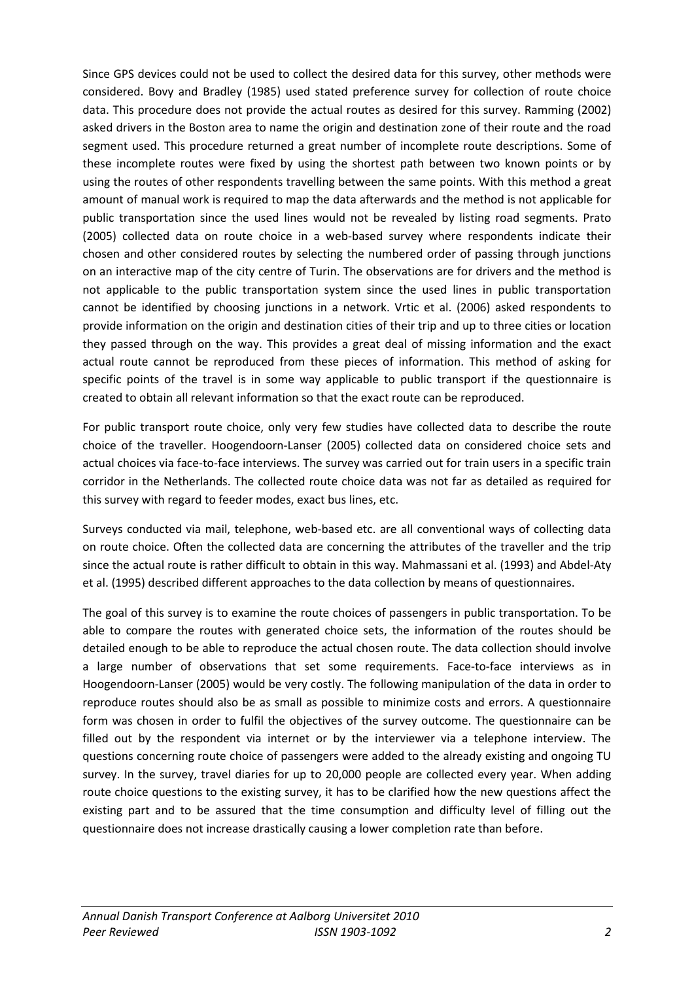Since GPS devices could not be used to collect the desired data for this survey, other methods were considered. Bovy and Bradley (1985) used stated preference survey for collection of route choice data. This procedure does not provide the actual routes as desired for this survey. Ramming (2002) asked drivers in the Boston area to name the origin and destination zone of their route and the road segment used. This procedure returned a great number of incomplete route descriptions. Some of these incomplete routes were fixed by using the shortest path between two known points or by using the routes of other respondents travelling between the same points. With this method a great amount of manual work is required to map the data afterwards and the method is not applicable for public transportation since the used lines would not be revealed by listing road segments. Prato (2005) collected data on route choice in a web-based survey where respondents indicate their chosen and other considered routes by selecting the numbered order of passing through junctions on an interactive map of the city centre of Turin. The observations are for drivers and the method is not applicable to the public transportation system since the used lines in public transportation cannot be identified by choosing junctions in a network. Vrtic et al. (2006) asked respondents to provide information on the origin and destination cities of their trip and up to three cities or location they passed through on the way. This provides a great deal of missing information and the exact actual route cannot be reproduced from these pieces of information. This method of asking for specific points of the travel is in some way applicable to public transport if the questionnaire is created to obtain all relevant information so that the exact route can be reproduced.

For public transport route choice, only very few studies have collected data to describe the route choice of the traveller. Hoogendoorn-Lanser (2005) collected data on considered choice sets and actual choices via face-to-face interviews. The survey was carried out for train users in a specific train corridor in the Netherlands. The collected route choice data was not far as detailed as required for this survey with regard to feeder modes, exact bus lines, etc.

Surveys conducted via mail, telephone, web-based etc. are all conventional ways of collecting data on route choice. Often the collected data are concerning the attributes of the traveller and the trip since the actual route is rather difficult to obtain in this way. Mahmassani et al. (1993) and Abdel-Aty et al. (1995) described different approaches to the data collection by means of questionnaires.

The goal of this survey is to examine the route choices of passengers in public transportation. To be able to compare the routes with generated choice sets, the information of the routes should be detailed enough to be able to reproduce the actual chosen route. The data collection should involve a large number of observations that set some requirements. Face-to-face interviews as in Hoogendoorn-Lanser (2005) would be very costly. The following manipulation of the data in order to reproduce routes should also be as small as possible to minimize costs and errors. A questionnaire form was chosen in order to fulfil the objectives of the survey outcome. The questionnaire can be filled out by the respondent via internet or by the interviewer via a telephone interview. The questions concerning route choice of passengers were added to the already existing and ongoing TU survey. In the survey, travel diaries for up to 20,000 people are collected every year. When adding route choice questions to the existing survey, it has to be clarified how the new questions affect the existing part and to be assured that the time consumption and difficulty level of filling out the questionnaire does not increase drastically causing a lower completion rate than before.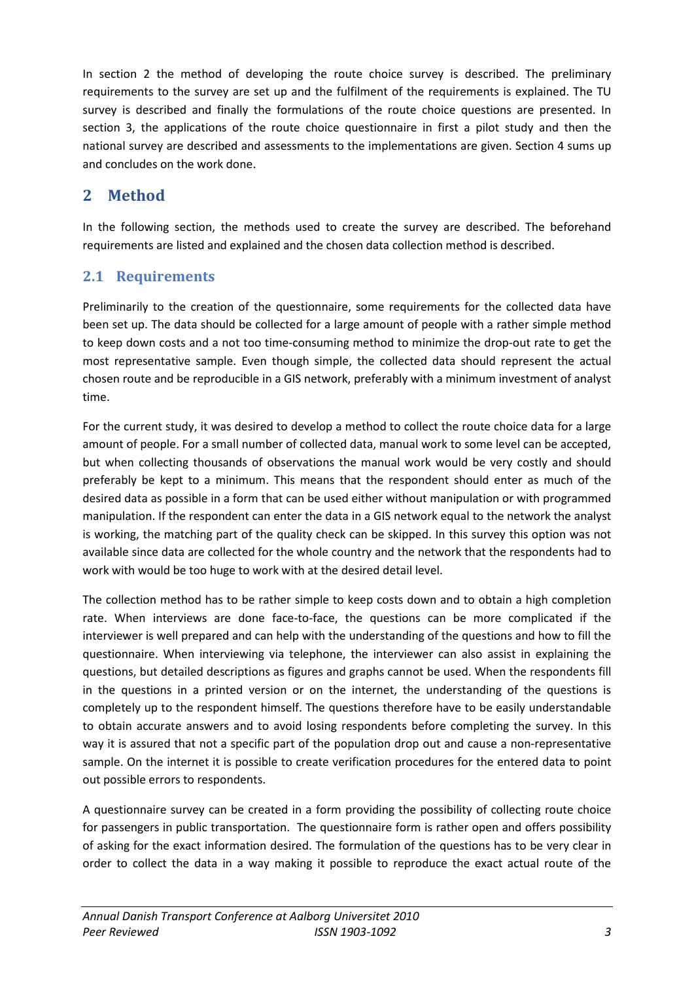In section 2 the method of developing the route choice survey is described. The preliminary requirements to the survey are set up and the fulfilment of the requirements is explained. The TU survey is described and finally the formulations of the route choice questions are presented. In section 3, the applications of the route choice questionnaire in first a pilot study and then the national survey are described and assessments to the implementations are given. Section 4 sums up and concludes on the work done.

# **2 Method**

In the following section, the methods used to create the survey are described. The beforehand requirements are listed and explained and the chosen data collection method is described.

# **2.1 Requirements**

Preliminarily to the creation of the questionnaire, some requirements for the collected data have been set up. The data should be collected for a large amount of people with a rather simple method to keep down costs and a not too time-consuming method to minimize the drop-out rate to get the most representative sample. Even though simple, the collected data should represent the actual chosen route and be reproducible in a GIS network, preferably with a minimum investment of analyst time.

For the current study, it was desired to develop a method to collect the route choice data for a large amount of people. For a small number of collected data, manual work to some level can be accepted, but when collecting thousands of observations the manual work would be very costly and should preferably be kept to a minimum. This means that the respondent should enter as much of the desired data as possible in a form that can be used either without manipulation or with programmed manipulation. If the respondent can enter the data in a GIS network equal to the network the analyst is working, the matching part of the quality check can be skipped. In this survey this option was not available since data are collected for the whole country and the network that the respondents had to work with would be too huge to work with at the desired detail level.

The collection method has to be rather simple to keep costs down and to obtain a high completion rate. When interviews are done face-to-face, the questions can be more complicated if the interviewer is well prepared and can help with the understanding of the questions and how to fill the questionnaire. When interviewing via telephone, the interviewer can also assist in explaining the questions, but detailed descriptions as figures and graphs cannot be used. When the respondents fill in the questions in a printed version or on the internet, the understanding of the questions is completely up to the respondent himself. The questions therefore have to be easily understandable to obtain accurate answers and to avoid losing respondents before completing the survey. In this way it is assured that not a specific part of the population drop out and cause a non-representative sample. On the internet it is possible to create verification procedures for the entered data to point out possible errors to respondents.

A questionnaire survey can be created in a form providing the possibility of collecting route choice for passengers in public transportation. The questionnaire form is rather open and offers possibility of asking for the exact information desired. The formulation of the questions has to be very clear in order to collect the data in a way making it possible to reproduce the exact actual route of the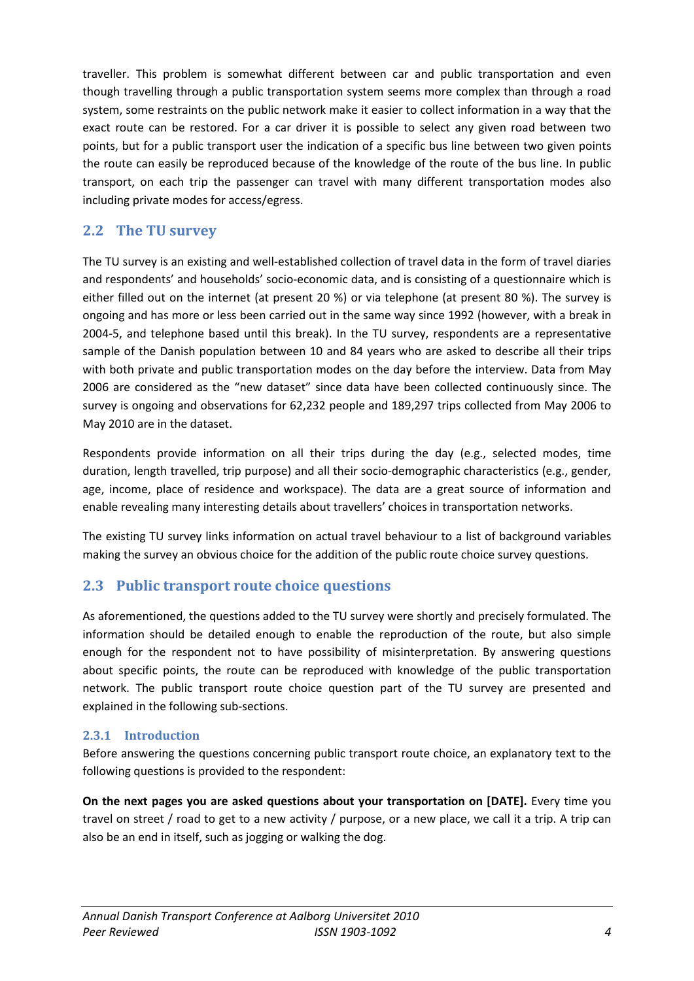traveller. This problem is somewhat different between car and public transportation and even though travelling through a public transportation system seems more complex than through a road system, some restraints on the public network make it easier to collect information in a way that the exact route can be restored. For a car driver it is possible to select any given road between two points, but for a public transport user the indication of a specific bus line between two given points the route can easily be reproduced because of the knowledge of the route of the bus line. In public transport, on each trip the passenger can travel with many different transportation modes also including private modes for access/egress.

## **2.2 The TU survey**

The TU survey is an existing and well-established collection of travel data in the form of travel diaries and respondents' and households' socio-economic data, and is consisting of a questionnaire which is either filled out on the internet (at present 20 %) or via telephone (at present 80 %). The survey is ongoing and has more or less been carried out in the same way since 1992 (however, with a break in 2004-5, and telephone based until this break). In the TU survey, respondents are a representative sample of the Danish population between 10 and 84 years who are asked to describe all their trips with both private and public transportation modes on the day before the interview. Data from May 2006 are considered as the "new dataset" since data have been collected continuously since. The survey is ongoing and observations for 62,232 people and 189,297 trips collected from May 2006 to May 2010 are in the dataset.

Respondents provide information on all their trips during the day (e.g., selected modes, time duration, length travelled, trip purpose) and all their socio-demographic characteristics (e.g., gender, age, income, place of residence and workspace). The data are a great source of information and enable revealing many interesting details about travellers' choices in transportation networks.

The existing TU survey links information on actual travel behaviour to a list of background variables making the survey an obvious choice for the addition of the public route choice survey questions.

## **2.3 Public transport route choice questions**

As aforementioned, the questions added to the TU survey were shortly and precisely formulated. The information should be detailed enough to enable the reproduction of the route, but also simple enough for the respondent not to have possibility of misinterpretation. By answering questions about specific points, the route can be reproduced with knowledge of the public transportation network. The public transport route choice question part of the TU survey are presented and explained in the following sub-sections.

#### **2.3.1 Introduction**

Before answering the questions concerning public transport route choice, an explanatory text to the following questions is provided to the respondent:

**On the next pages you are asked questions about your transportation on [DATE].** Every time you travel on street / road to get to a new activity / purpose, or a new place, we call it a trip. A trip can also be an end in itself, such as jogging or walking the dog.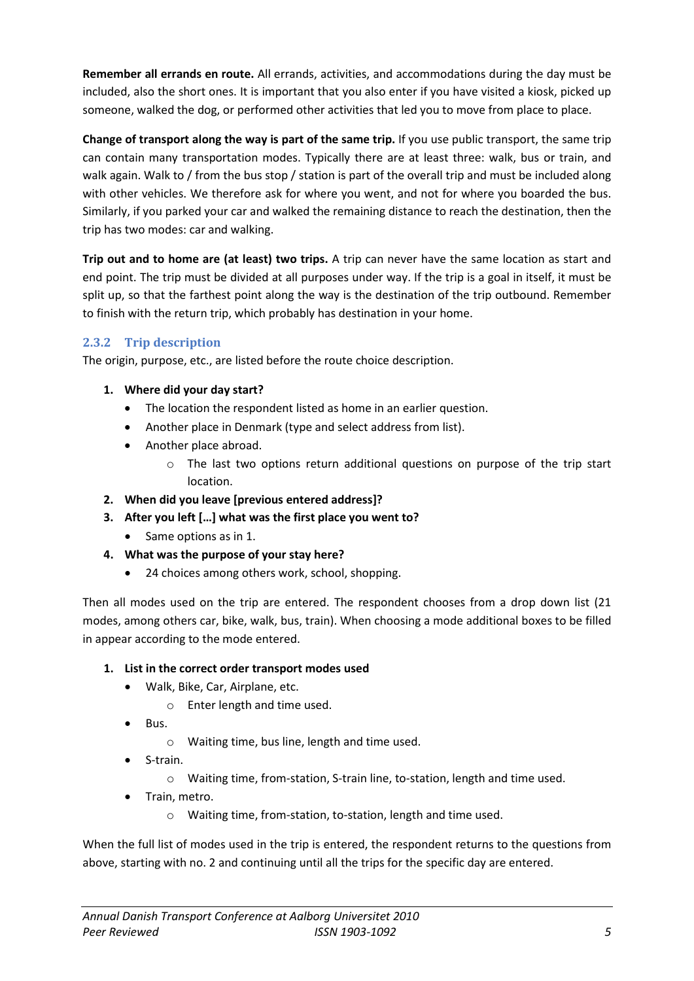**Remember all errands en route.** All errands, activities, and accommodations during the day must be included, also the short ones. It is important that you also enter if you have visited a kiosk, picked up someone, walked the dog, or performed other activities that led you to move from place to place.

**Change of transport along the way is part of the same trip.** If you use public transport, the same trip can contain many transportation modes. Typically there are at least three: walk, bus or train, and walk again. Walk to / from the bus stop / station is part of the overall trip and must be included along with other vehicles. We therefore ask for where you went, and not for where you boarded the bus. Similarly, if you parked your car and walked the remaining distance to reach the destination, then the trip has two modes: car and walking.

**Trip out and to home are (at least) two trips.** A trip can never have the same location as start and end point. The trip must be divided at all purposes under way. If the trip is a goal in itself, it must be split up, so that the farthest point along the way is the destination of the trip outbound. Remember to finish with the return trip, which probably has destination in your home.

#### **2.3.2 Trip description**

The origin, purpose, etc., are listed before the route choice description.

- **1. Where did your day start?**
	- The location the respondent listed as home in an earlier question.
	- Another place in Denmark (type and select address from list).
	- Another place abroad.
		- o The last two options return additional questions on purpose of the trip start location.
- **2. When did you leave [previous entered address]?**
- **3. After you left […] what was the first place you went to?** 
	- Same options as in 1.
- **4. What was the purpose of your stay here?** 
	- 24 choices among others work, school, shopping.

Then all modes used on the trip are entered. The respondent chooses from a drop down list (21 modes, among others car, bike, walk, bus, train). When choosing a mode additional boxes to be filled in appear according to the mode entered.

- **1. List in the correct order transport modes used** 
	- Walk, Bike, Car, Airplane, etc.
		- o Enter length and time used.
	- Bus.
		- o Waiting time, bus line, length and time used.
	- S-train.
		- o Waiting time, from-station, S-train line, to-station, length and time used.
	- Train, metro.
		- o Waiting time, from-station, to-station, length and time used.

When the full list of modes used in the trip is entered, the respondent returns to the questions from above, starting with no. 2 and continuing until all the trips for the specific day are entered.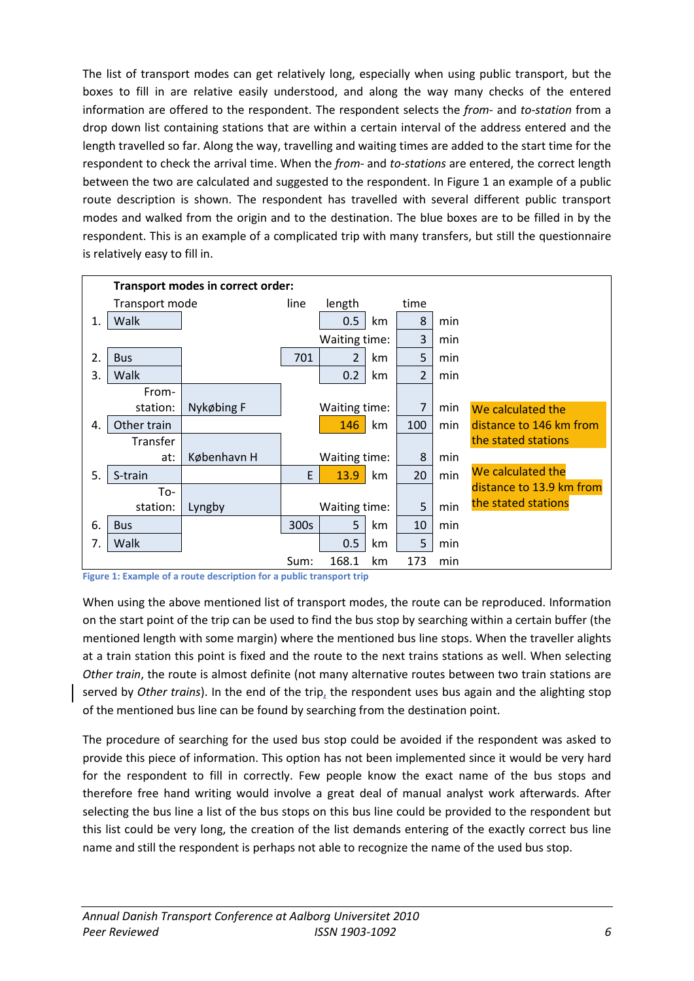The list of transport modes can get relatively long, especially when using public transport, but the boxes to fill in are relative easily understood, and along the way many checks of the entered information are offered to the respondent. The respondent selects the *from*- and *to-station* from a drop down list containing stations that are within a certain interval of the address entered and the length travelled so far. Along the way, travelling and waiting times are added to the start time for the respondent to check the arrival time. When the *from*- and *to-stations* are entered, the correct length between the two are calculated and suggested to the respondent. In [Figure 1](#page-6-0) an example of a public route description is shown. The respondent has travelled with several different public transport modes and walked from the origin and to the destination. The blue boxes are to be filled in by the respondent. This is an example of a complicated trip with many transfers, but still the questionnaire is relatively easy to fill in.

|    | Transport modes in correct order: |             |      |                |    |                |     |                          |
|----|-----------------------------------|-------------|------|----------------|----|----------------|-----|--------------------------|
|    | Transport mode                    |             | line | length         |    | time           |     |                          |
| 1. | Walk                              |             |      | 0.5            | km | 8              | min |                          |
|    |                                   |             |      | Waiting time:  |    | 3              | min |                          |
| 2. | <b>Bus</b>                        |             | 701  | $\overline{2}$ | km | 5              | min |                          |
| 3. | Walk                              |             |      | 0.2            | km | $\overline{2}$ | min |                          |
|    | From-                             |             |      |                |    |                |     |                          |
|    | station:                          | Nykøbing F  |      | Waiting time:  |    | $\overline{7}$ | min | We calculated the        |
| 4. | Other train                       |             |      | 146            | km | 100            | min | distance to 146 km from  |
|    | Transfer                          |             |      |                |    |                |     | the stated stations      |
|    | at:                               | København H |      | Waiting time:  |    | 8              | min |                          |
| 5. | S-train                           |             | E    | 13.9           | km | 20             | min | We calculated the        |
|    | To-                               |             |      |                |    |                |     | distance to 13.9 km from |
|    | station:                          | Lyngby      |      | Waiting time:  |    | 5              | min | the stated stations      |
| 6. | <b>Bus</b>                        |             | 300s | 5              | km | 10             | min |                          |
| 7. | Walk                              |             |      | 0.5            | km | 5              | min |                          |
|    |                                   |             | Sum: | 168.1          | km | 173            | min |                          |

<span id="page-6-0"></span>**Figure 1: Example of a route description for a public transport trip**

When using the above mentioned list of transport modes, the route can be reproduced. Information on the start point of the trip can be used to find the bus stop by searching within a certain buffer (the mentioned length with some margin) where the mentioned bus line stops. When the traveller alights at a train station this point is fixed and the route to the next trains stations as well. When selecting *Other train*, the route is almost definite (not many alternative routes between two train stations are served by *Other trains*). In the end of the trip, the respondent uses bus again and the alighting stop of the mentioned bus line can be found by searching from the destination point.

The procedure of searching for the used bus stop could be avoided if the respondent was asked to provide this piece of information. This option has not been implemented since it would be very hard for the respondent to fill in correctly. Few people know the exact name of the bus stops and therefore free hand writing would involve a great deal of manual analyst work afterwards. After selecting the bus line a list of the bus stops on this bus line could be provided to the respondent but this list could be very long, the creation of the list demands entering of the exactly correct bus line name and still the respondent is perhaps not able to recognize the name of the used bus stop.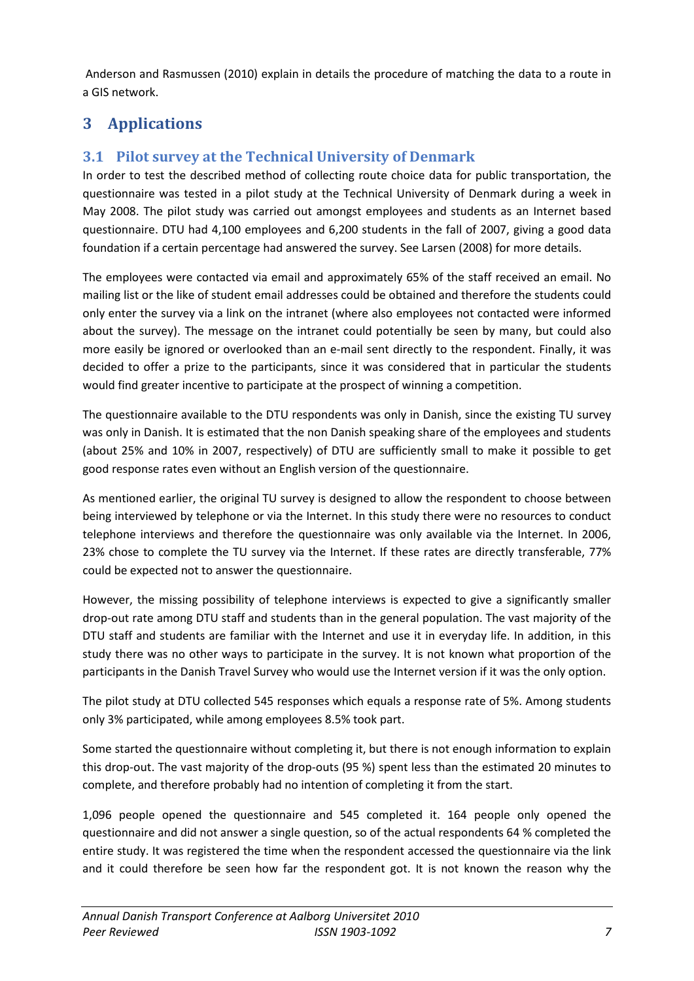Anderson and Rasmussen (2010) explain in details the procedure of matching the data to a route in a GIS network.

# **3 Applications**

# **3.1 Pilot survey at the Technical University of Denmark**

In order to test the described method of collecting route choice data for public transportation, the questionnaire was tested in a pilot study at the Technical University of Denmark during a week in May 2008. The pilot study was carried out amongst employees and students as an Internet based questionnaire. DTU had 4,100 employees and 6,200 students in the fall of 2007, giving a good data foundation if a certain percentage had answered the survey. See Larsen (2008) for more details.

The employees were contacted via email and approximately 65% of the staff received an email. No mailing list or the like of student email addresses could be obtained and therefore the students could only enter the survey via a link on the intranet (where also employees not contacted were informed about the survey). The message on the intranet could potentially be seen by many, but could also more easily be ignored or overlooked than an e-mail sent directly to the respondent. Finally, it was decided to offer a prize to the participants, since it was considered that in particular the students would find greater incentive to participate at the prospect of winning a competition.

The questionnaire available to the DTU respondents was only in Danish, since the existing TU survey was only in Danish. It is estimated that the non Danish speaking share of the employees and students (about 25% and 10% in 2007, respectively) of DTU are sufficiently small to make it possible to get good response rates even without an English version of the questionnaire.

As mentioned earlier, the original TU survey is designed to allow the respondent to choose between being interviewed by telephone or via the Internet. In this study there were no resources to conduct telephone interviews and therefore the questionnaire was only available via the Internet. In 2006, 23% chose to complete the TU survey via the Internet. If these rates are directly transferable, 77% could be expected not to answer the questionnaire.

However, the missing possibility of telephone interviews is expected to give a significantly smaller drop-out rate among DTU staff and students than in the general population. The vast majority of the DTU staff and students are familiar with the Internet and use it in everyday life. In addition, in this study there was no other ways to participate in the survey. It is not known what proportion of the participants in the Danish Travel Survey who would use the Internet version if it was the only option.

The pilot study at DTU collected 545 responses which equals a response rate of 5%. Among students only 3% participated, while among employees 8.5% took part.

Some started the questionnaire without completing it, but there is not enough information to explain this drop-out. The vast majority of the drop-outs (95 %) spent less than the estimated 20 minutes to complete, and therefore probably had no intention of completing it from the start.

1,096 people opened the questionnaire and 545 completed it. 164 people only opened the questionnaire and did not answer a single question, so of the actual respondents 64 % completed the entire study. It was registered the time when the respondent accessed the questionnaire via the link and it could therefore be seen how far the respondent got. It is not known the reason why the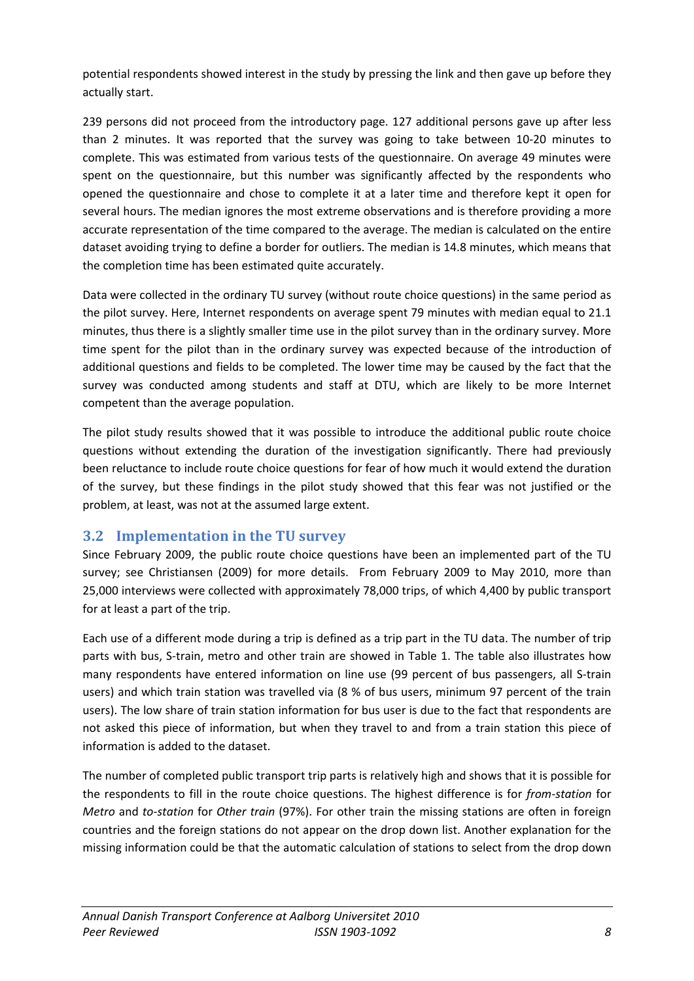potential respondents showed interest in the study by pressing the link and then gave up before they actually start.

239 persons did not proceed from the introductory page. 127 additional persons gave up after less than 2 minutes. It was reported that the survey was going to take between 10-20 minutes to complete. This was estimated from various tests of the questionnaire. On average 49 minutes were spent on the questionnaire, but this number was significantly affected by the respondents who opened the questionnaire and chose to complete it at a later time and therefore kept it open for several hours. The median ignores the most extreme observations and is therefore providing a more accurate representation of the time compared to the average. The median is calculated on the entire dataset avoiding trying to define a border for outliers. The median is 14.8 minutes, which means that the completion time has been estimated quite accurately.

Data were collected in the ordinary TU survey (without route choice questions) in the same period as the pilot survey. Here, Internet respondents on average spent 79 minutes with median equal to 21.1 minutes, thus there is a slightly smaller time use in the pilot survey than in the ordinary survey. More time spent for the pilot than in the ordinary survey was expected because of the introduction of additional questions and fields to be completed. The lower time may be caused by the fact that the survey was conducted among students and staff at DTU, which are likely to be more Internet competent than the average population.

The pilot study results showed that it was possible to introduce the additional public route choice questions without extending the duration of the investigation significantly. There had previously been reluctance to include route choice questions for fear of how much it would extend the duration of the survey, but these findings in the pilot study showed that this fear was not justified or the problem, at least, was not at the assumed large extent.

## **3.2 Implementation in the TU survey**

Since February 2009, the public route choice questions have been an implemented part of the TU survey; see Christiansen (2009) for more details. From February 2009 to May 2010, more than 25,000 interviews were collected with approximately 78,000 trips, of which 4,400 by public transport for at least a part of the trip.

Each use of a different mode during a trip is defined as a trip part in the TU data. The number of trip parts with bus, S-train, metro and other train are showed in [Table 1.](#page-9-0) The table also illustrates how many respondents have entered information on line use (99 percent of bus passengers, all S-train users) and which train station was travelled via (8 % of bus users, minimum 97 percent of the train users). The low share of train station information for bus user is due to the fact that respondents are not asked this piece of information, but when they travel to and from a train station this piece of information is added to the dataset.

The number of completed public transport trip parts is relatively high and shows that it is possible for the respondents to fill in the route choice questions. The highest difference is for *from-station* for *Metro* and *to-station* for *Other train* (97%). For other train the missing stations are often in foreign countries and the foreign stations do not appear on the drop down list. Another explanation for the missing information could be that the automatic calculation of stations to select from the drop down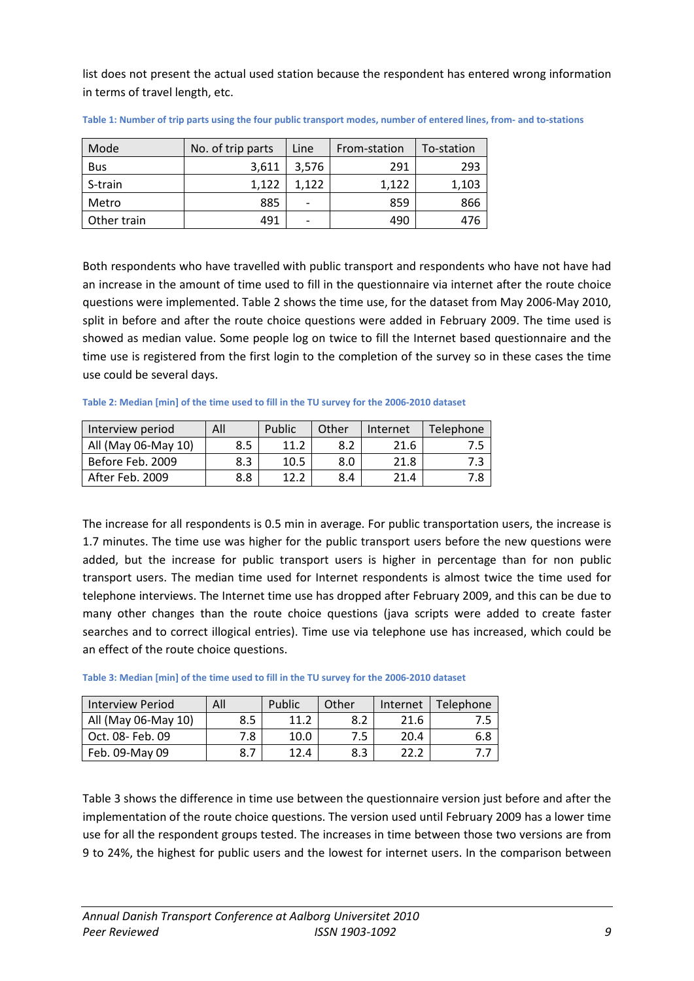list does not present the actual used station because the respondent has entered wrong information in terms of travel length, etc.

| Mode        | No. of trip parts | Line  | From-station | To-station |
|-------------|-------------------|-------|--------------|------------|
| <b>Bus</b>  | 3,611             | 3,576 | 291          | 293        |
| S-train     | 1.122             | 1.122 | 1.122        | 1,103      |
| Metro       | 885               |       | 859          | 866        |
| Other train | 491               |       | 490          | 476        |

<span id="page-9-0"></span>**Table 1: Number of trip parts using the four public transport modes, number of entered lines, from- and to-stations**

Both respondents who have travelled with public transport and respondents who have not have had an increase in the amount of time used to fill in the questionnaire via internet after the route choice questions were implemented. [Table 2](#page-9-1) shows the time use, for the dataset from May 2006-May 2010, split in before and after the route choice questions were added in February 2009. The time used is showed as median value. Some people log on twice to fill the Internet based questionnaire and the time use is registered from the first login to the completion of the survey so in these cases the time use could be several days.

<span id="page-9-1"></span>**Table 2: Median [min] of the time used to fill in the TU survey for the 2006-2010 dataset**

| Interview period    | All | Public          | Other | Internet | <b>Telephone</b> |
|---------------------|-----|-----------------|-------|----------|------------------|
| All (May 06-May 10) | 8.5 | 11.2            | 8.2   | 21.6     |                  |
| Before Feb. 2009    | 8.3 | 10.5            | 8.0   | 21.8     |                  |
| After Feb. 2009     | 8.8 | 12 <sub>2</sub> | 8.4   | 21.4     | 8.'              |

The increase for all respondents is 0.5 min in average. For public transportation users, the increase is 1.7 minutes. The time use was higher for the public transport users before the new questions were added, but the increase for public transport users is higher in percentage than for non public transport users. The median time used for Internet respondents is almost twice the time used for telephone interviews. The Internet time use has dropped after February 2009, and this can be due to many other changes than the route choice questions (java scripts were added to create faster searches and to correct illogical entries). Time use via telephone use has increased, which could be an effect of the route choice questions.

| Interview Period    | All | Public | Other | Internet | <b>Telephone</b> |
|---------------------|-----|--------|-------|----------|------------------|
| All (May 06-May 10) | 8.5 | 11.2   | 8.2   | 21.6     |                  |
| Oct. 08- Feb. 09    | 7.8 | 10.0   | 7.5   | 20.4     | 6.8              |
| Feb. 09-May 09      |     | 12.4   | 8.3   |          |                  |

<span id="page-9-2"></span>**Table 3: Median [min] of the time used to fill in the TU survey for the 2006-2010 dataset**

[Table 3](#page-9-2) shows the difference in time use between the questionnaire version just before and after the implementation of the route choice questions. The version used until February 2009 has a lower time use for all the respondent groups tested. The increases in time between those two versions are from 9 to 24%, the highest for public users and the lowest for internet users. In the comparison between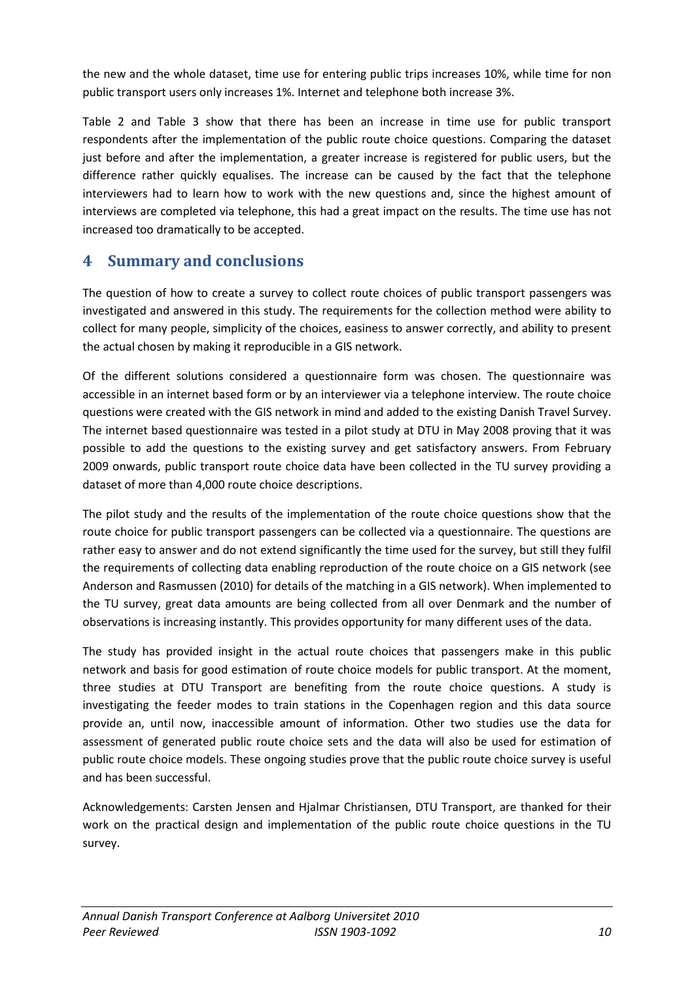the new and the whole dataset, time use for entering public trips increases 10%, while time for non public transport users only increases 1%. Internet and telephone both increase 3%.

[Table 2](#page-9-1) and [Table 3](#page-9-2) show that there has been an increase in time use for public transport respondents after the implementation of the public route choice questions. Comparing the dataset just before and after the implementation, a greater increase is registered for public users, but the difference rather quickly equalises. The increase can be caused by the fact that the telephone interviewers had to learn how to work with the new questions and, since the highest amount of interviews are completed via telephone, this had a great impact on the results. The time use has not increased too dramatically to be accepted.

# **4 Summary and conclusions**

The question of how to create a survey to collect route choices of public transport passengers was investigated and answered in this study. The requirements for the collection method were ability to collect for many people, simplicity of the choices, easiness to answer correctly, and ability to present the actual chosen by making it reproducible in a GIS network.

Of the different solutions considered a questionnaire form was chosen. The questionnaire was accessible in an internet based form or by an interviewer via a telephone interview. The route choice questions were created with the GIS network in mind and added to the existing Danish Travel Survey. The internet based questionnaire was tested in a pilot study at DTU in May 2008 proving that it was possible to add the questions to the existing survey and get satisfactory answers. From February 2009 onwards, public transport route choice data have been collected in the TU survey providing a dataset of more than 4,000 route choice descriptions.

The pilot study and the results of the implementation of the route choice questions show that the route choice for public transport passengers can be collected via a questionnaire. The questions are rather easy to answer and do not extend significantly the time used for the survey, but still they fulfil the requirements of collecting data enabling reproduction of the route choice on a GIS network (see Anderson and Rasmussen (2010) for details of the matching in a GIS network). When implemented to the TU survey, great data amounts are being collected from all over Denmark and the number of observations is increasing instantly. This provides opportunity for many different uses of the data.

The study has provided insight in the actual route choices that passengers make in this public network and basis for good estimation of route choice models for public transport. At the moment, three studies at DTU Transport are benefiting from the route choice questions. A study is investigating the feeder modes to train stations in the Copenhagen region and this data source provide an, until now, inaccessible amount of information. Other two studies use the data for assessment of generated public route choice sets and the data will also be used for estimation of public route choice models. These ongoing studies prove that the public route choice survey is useful and has been successful.

Acknowledgements: Carsten Jensen and Hjalmar Christiansen, DTU Transport, are thanked for their work on the practical design and implementation of the public route choice questions in the TU survey.